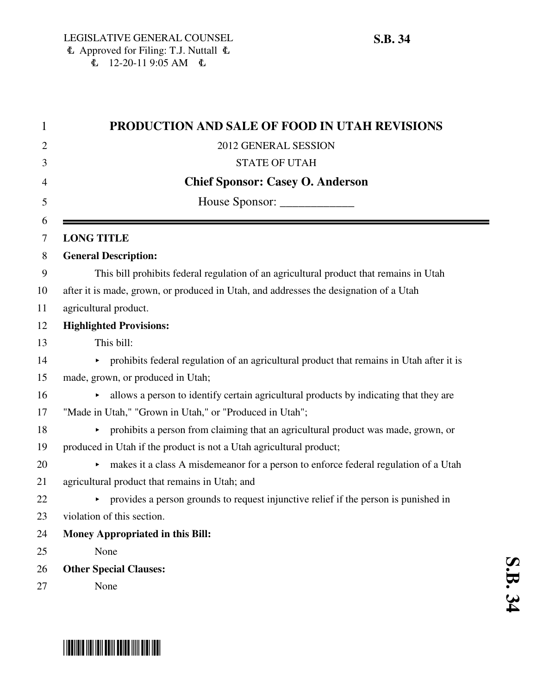| PRODUCTION AND SALE OF FOOD IN UTAH REVISIONS                                              |
|--------------------------------------------------------------------------------------------|
| 2012 GENERAL SESSION                                                                       |
| <b>STATE OF UTAH</b>                                                                       |
| <b>Chief Sponsor: Casey O. Anderson</b>                                                    |
| House Sponsor: ______________                                                              |
|                                                                                            |
| <b>LONG TITLE</b>                                                                          |
| <b>General Description:</b>                                                                |
| This bill prohibits federal regulation of an agricultural product that remains in Utah     |
| after it is made, grown, or produced in Utah, and addresses the designation of a Utah      |
| agricultural product.                                                                      |
| <b>Highlighted Provisions:</b>                                                             |
| This bill:                                                                                 |
| • prohibits federal regulation of an agricultural product that remains in Utah after it is |
| made, grown, or produced in Utah;                                                          |
| allows a person to identify certain agricultural products by indicating that they are      |
| "Made in Utah," "Grown in Utah," or "Produced in Utah";                                    |
| prohibits a person from claiming that an agricultural product was made, grown, or<br>Þ.    |
| produced in Utah if the product is not a Utah agricultural product;                        |
| makes it a class A misdemeanor for a person to enforce federal regulation of a Utah        |
| agricultural product that remains in Utah; and                                             |
| • provides a person grounds to request injunctive relief if the person is punished in      |
| violation of this section.                                                                 |
| <b>Money Appropriated in this Bill:</b>                                                    |
| None                                                                                       |
| <b>Other Special Clauses:</b>                                                              |
| None                                                                                       |

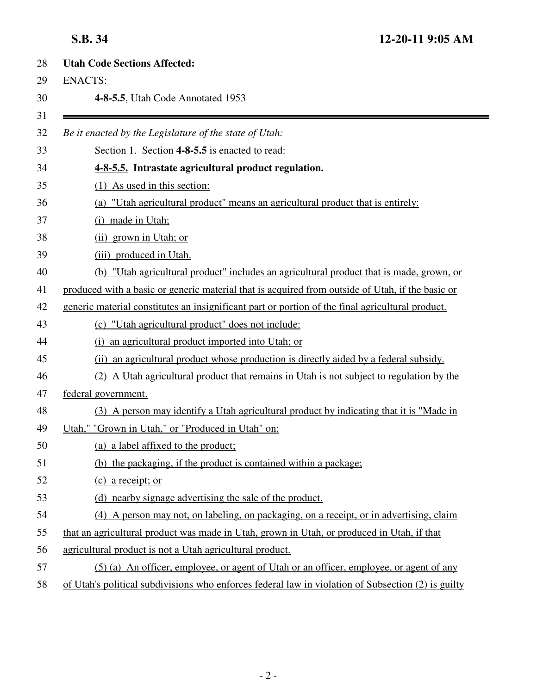| <b>Utah Code Sections Affected:</b> |                                                                                                    |  |
|-------------------------------------|----------------------------------------------------------------------------------------------------|--|
|                                     | <b>ENACTS:</b>                                                                                     |  |
|                                     | 4-8-5.5, Utah Code Annotated 1953                                                                  |  |
|                                     | Be it enacted by the Legislature of the state of Utah:                                             |  |
|                                     | Section 1. Section 4-8-5.5 is enacted to read:                                                     |  |
|                                     | 4-8-5.5. Intrastate agricultural product regulation.                                               |  |
|                                     | $(1)$ As used in this section:                                                                     |  |
|                                     | (a) "Utah agricultural product" means an agricultural product that is entirely:                    |  |
|                                     | (i) made in Utah;                                                                                  |  |
|                                     | (ii) grown in Utah; or                                                                             |  |
|                                     | (iii) produced in Utah.                                                                            |  |
|                                     | (b) "Utah agricultural product" includes an agricultural product that is made, grown, or           |  |
|                                     | produced with a basic or generic material that is acquired from outside of Utah, if the basic or   |  |
|                                     | generic material constitutes an insignificant part or portion of the final agricultural product.   |  |
|                                     | (c) "Utah agricultural product" does not include:                                                  |  |
|                                     | (i) an agricultural product imported into Utah; or                                                 |  |
|                                     | (ii) an agricultural product whose production is directly aided by a federal subsidy.              |  |
|                                     | (2) A Utah agricultural product that remains in Utah is not subject to regulation by the           |  |
|                                     | federal government.                                                                                |  |
|                                     | (3) A person may identify a Utah agricultural product by indicating that it is "Made in            |  |
|                                     | Utah," "Grown in Utah," or "Produced in Utah" on:                                                  |  |
|                                     | (a) a label affixed to the product;                                                                |  |
|                                     | (b) the packaging, if the product is contained within a package;                                   |  |
|                                     | (c) a receipt; or                                                                                  |  |
|                                     | (d) nearby signage advertising the sale of the product.                                            |  |
|                                     | (4) A person may not, on labeling, on packaging, on a receipt, or in advertising, claim            |  |
|                                     | that an agricultural product was made in Utah, grown in Utah, or produced in Utah, if that         |  |
|                                     | agricultural product is not a Utah agricultural product.                                           |  |
|                                     | (5) (a) An officer, employee, or agent of Utah or an officer, employee, or agent of any            |  |
|                                     | of Utah's political subdivisions who enforces federal law in violation of Subsection (2) is guilty |  |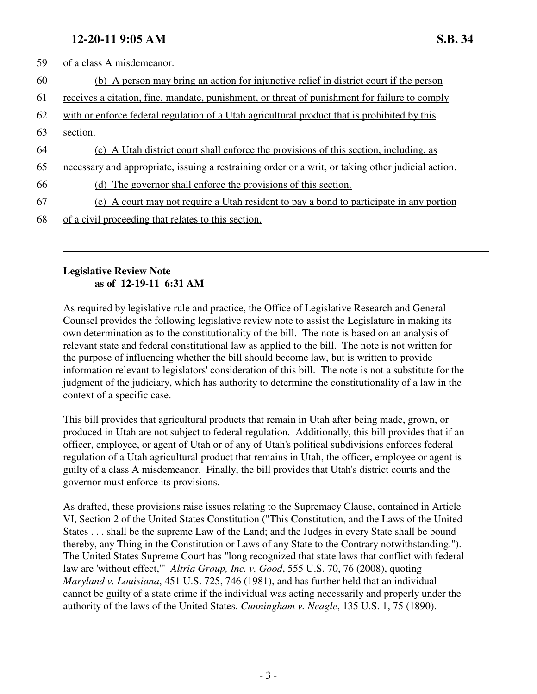## **12-20-11 9:05 AM S.B. 34**

| 59 | of a class A misdemeanor.                                                                          |
|----|----------------------------------------------------------------------------------------------------|
| 60 | (b) A person may bring an action for injunctive relief in district court if the person             |
| 61 | receives a citation, fine, mandate, punishment, or threat of punishment for failure to comply      |
| 62 | with or enforce federal regulation of a Utah agricultural product that is prohibited by this       |
| 63 | section.                                                                                           |
| 64 | (c) A Utah district court shall enforce the provisions of this section, including, as              |
| 65 | necessary and appropriate, issuing a restraining order or a writ, or taking other judicial action. |
| 66 | (d) The governor shall enforce the provisions of this section.                                     |
| 67 | A court may not require a Utah resident to pay a bond to participate in any portion<br>(e)         |
| 68 | of a civil proceeding that relates to this section.                                                |

## **Legislative Review Note as of 12-19-11 6:31 AM**

As required by legislative rule and practice, the Office of Legislative Research and General Counsel provides the following legislative review note to assist the Legislature in making its own determination as to the constitutionality of the bill. The note is based on an analysis of relevant state and federal constitutional law as applied to the bill. The note is not written for the purpose of influencing whether the bill should become law, but is written to provide information relevant to legislators' consideration of this bill. The note is not a substitute for the judgment of the judiciary, which has authority to determine the constitutionality of a law in the context of a specific case.

This bill provides that agricultural products that remain in Utah after being made, grown, or produced in Utah are not subject to federal regulation. Additionally, this bill provides that if an officer, employee, or agent of Utah or of any of Utah's political subdivisions enforces federal regulation of a Utah agricultural product that remains in Utah, the officer, employee or agent is guilty of a class A misdemeanor. Finally, the bill provides that Utah's district courts and the governor must enforce its provisions.

As drafted, these provisions raise issues relating to the Supremacy Clause, contained in Article VI, Section 2 of the United States Constitution ("This Constitution, and the Laws of the United States . . . shall be the supreme Law of the Land; and the Judges in every State shall be bound thereby, any Thing in the Constitution or Laws of any State to the Contrary notwithstanding."). The United States Supreme Court has "long recognized that state laws that conflict with federal law are 'without effect,'" *Altria Group, Inc. v. Good*, 555 U.S. 70, 76 (2008), quoting *Maryland v. Louisiana*, 451 U.S. 725, 746 (1981), and has further held that an individual cannot be guilty of a state crime if the individual was acting necessarily and properly under the authority of the laws of the United States. *Cunningham v. Neagle*, 135 U.S. 1, 75 (1890).